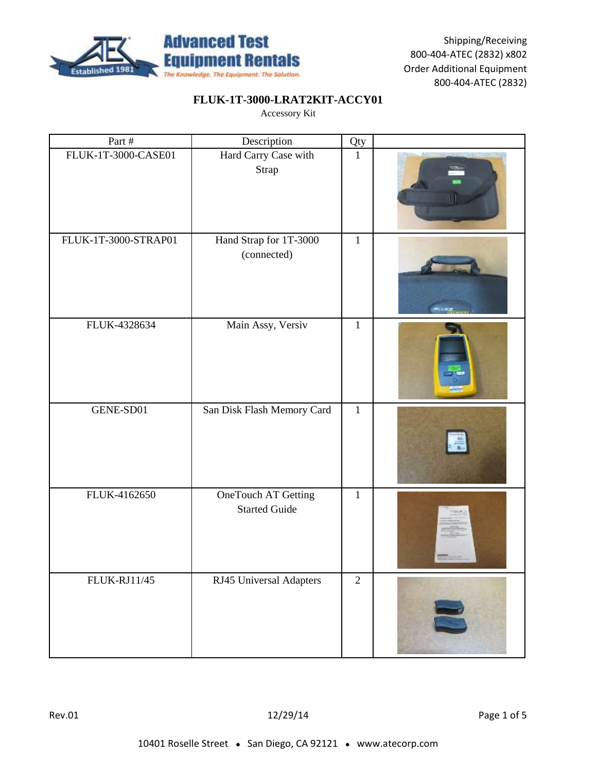

# **FLUK-1T-3000-LRAT2KIT-ACCY01**

| Part #               | Description                                 | Qty            |  |
|----------------------|---------------------------------------------|----------------|--|
| FLUK-1T-3000-CASE01  | Hard Carry Case with<br>Strap               | $1\,$          |  |
| FLUK-1T-3000-STRAP01 | Hand Strap for 1T-3000<br>(connected)       | $\mathbf{1}$   |  |
| FLUK-4328634         | Main Assy, Versiv                           | $\mathbf{1}$   |  |
| GENE-SD01            | San Disk Flash Memory Card                  | $\mathbf{1}$   |  |
| FLUK-4162650         | OneTouch AT Getting<br><b>Started Guide</b> | $\mathbf{1}$   |  |
| <b>FLUK-RJ11/45</b>  | RJ45 Universal Adapters                     | $\overline{2}$ |  |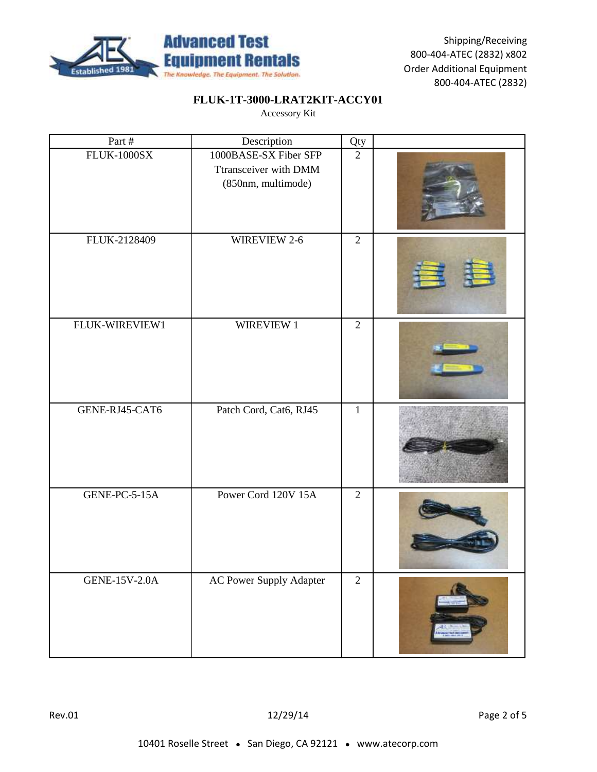

# **FLUK-1T-3000-LRAT2KIT-ACCY01**

| Part #             | Description                                                          | Qty            |  |
|--------------------|----------------------------------------------------------------------|----------------|--|
| <b>FLUK-1000SX</b> | 1000BASE-SX Fiber SFP<br>Ttransceiver with DMM<br>(850nm, multimode) | $\overline{2}$ |  |
| FLUK-2128409       | WIREVIEW 2-6                                                         | $\overline{2}$ |  |
| FLUK-WIREVIEW1     | WIREVIEW 1                                                           | $\overline{2}$ |  |
| GENE-RJ45-CAT6     | Patch Cord, Cat6, RJ45                                               | $\mathbf{1}$   |  |
| GENE-PC-5-15A      | Power Cord 120V 15A                                                  | $\overline{2}$ |  |
| GENE-15V-2.0A      | <b>AC Power Supply Adapter</b>                                       | $\overline{2}$ |  |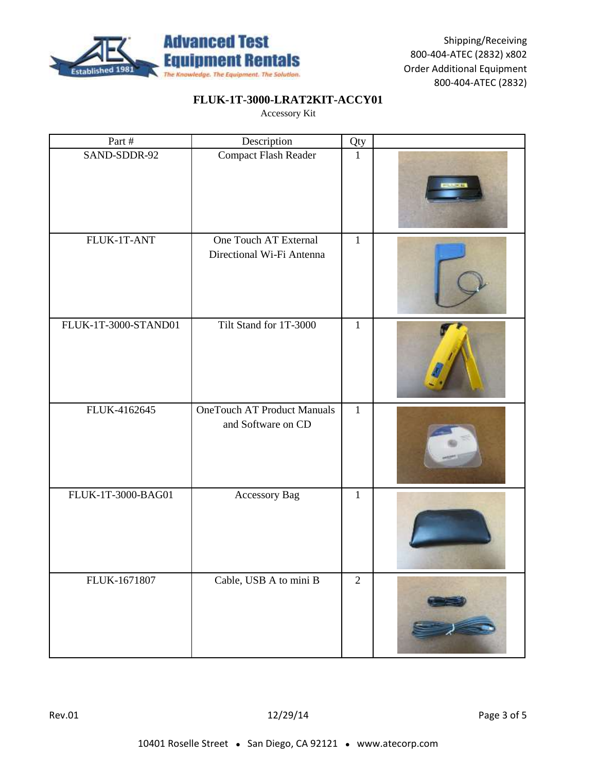

# **FLUK-1T-3000-LRAT2KIT-ACCY01**

| Part #               | Description                                              | Qty          |  |
|----------------------|----------------------------------------------------------|--------------|--|
| SAND-SDDR-92         | Compact Flash Reader                                     | $\mathbf{1}$ |  |
| FLUK-1T-ANT          | One Touch AT External<br>Directional Wi-Fi Antenna       | $\mathbf{1}$ |  |
| FLUK-1T-3000-STAND01 | Tilt Stand for 1T-3000                                   | $\mathbf{1}$ |  |
| FLUK-4162645         | <b>OneTouch AT Product Manuals</b><br>and Software on CD | $\mathbf{1}$ |  |
| FLUK-1T-3000-BAG01   | Accessory Bag                                            | $1\,$        |  |
| FLUK-1671807         | Cable, USB A to mini B                                   | $\sqrt{2}$   |  |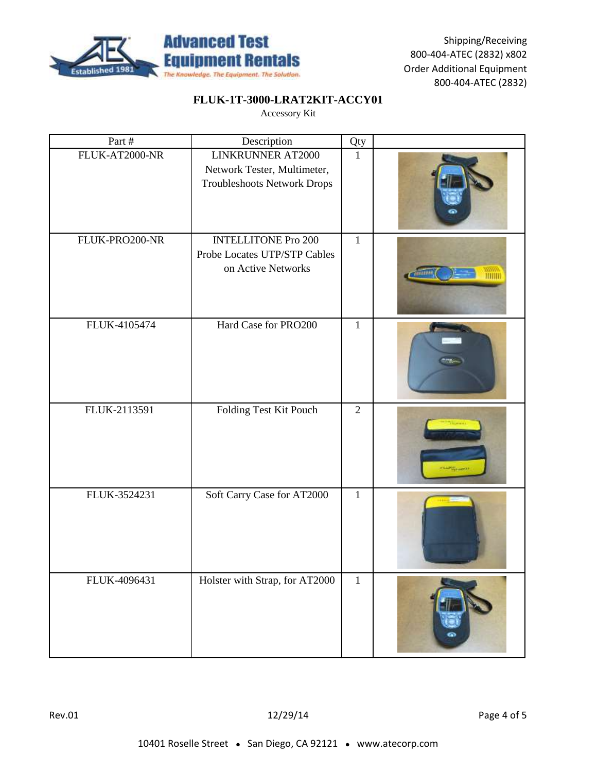

# **FLUK-1T-3000-LRAT2KIT-ACCY01**

| Part #         | Description                                                                            | Qty            |  |
|----------------|----------------------------------------------------------------------------------------|----------------|--|
| FLUK-AT2000-NR | LINKRUNNER AT2000<br>Network Tester, Multimeter,<br><b>Troubleshoots Network Drops</b> | $\mathbf{1}$   |  |
| FLUK-PRO200-NR | <b>INTELLITONE Pro 200</b><br>Probe Locates UTP/STP Cables<br>on Active Networks       | $\mathbf{1}$   |  |
| FLUK-4105474   | Hard Case for PRO200                                                                   | $\mathbf{1}$   |  |
| FLUK-2113591   | Folding Test Kit Pouch                                                                 | $\overline{2}$ |  |
| FLUK-3524231   | Soft Carry Case for AT2000                                                             | $\mathbf{1}$   |  |
| FLUK-4096431   | Holster with Strap, for AT2000                                                         | $\mathbf 1$    |  |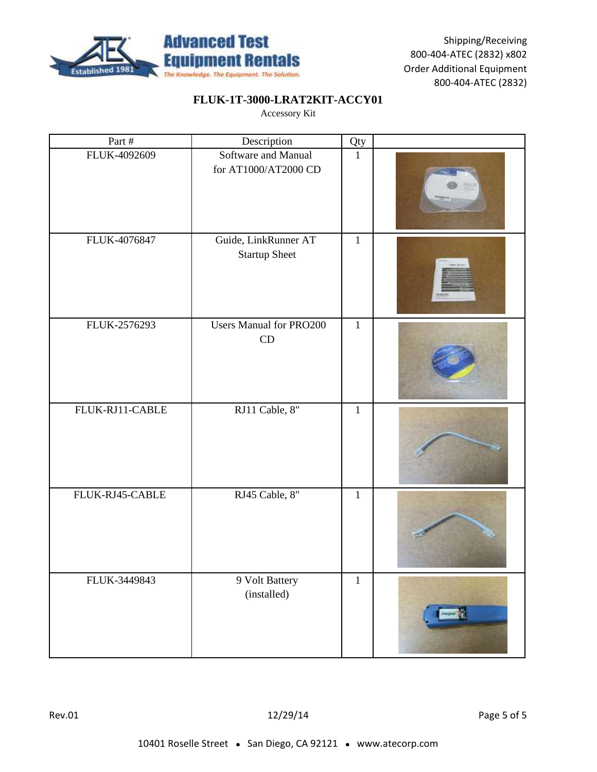

# **FLUK-1T-3000-LRAT2KIT-ACCY01**

| Part #          | Description                                  | Qty          |  |
|-----------------|----------------------------------------------|--------------|--|
| FLUK-4092609    | Software and Manual<br>for AT1000/AT2000 CD  | $\mathbf{1}$ |  |
| FLUK-4076847    | Guide, LinkRunner AT<br><b>Startup Sheet</b> | $\mathbf{1}$ |  |
| FLUK-2576293    | <b>Users Manual for PRO200</b><br>CD         | $\mathbf{1}$ |  |
| FLUK-RJ11-CABLE | RJ11 Cable, 8"                               | $\mathbf{1}$ |  |
| FLUK-RJ45-CABLE | RJ45 Cable, 8"                               | $\,1$        |  |
| FLUK-3449843    | 9 Volt Battery<br>(installed)                | $\,1$        |  |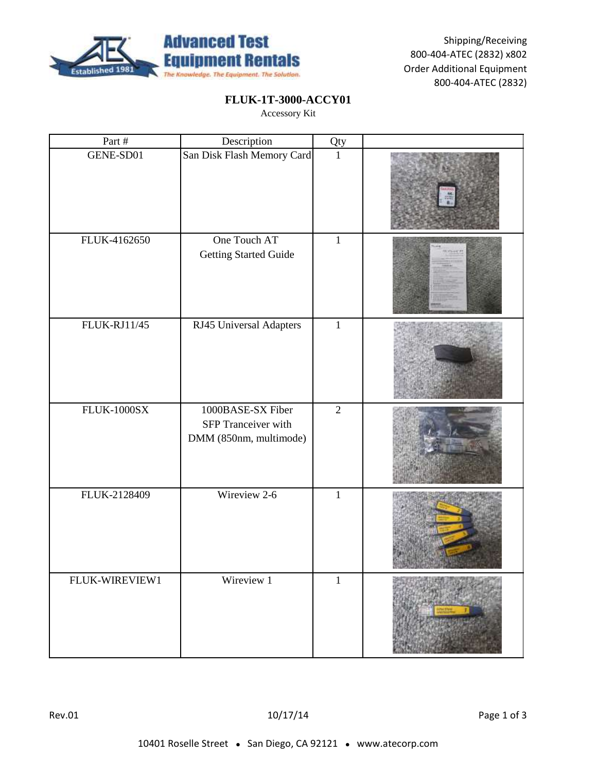

#### **FLUK-1T-3000-ACCY01**

| Part #              | Description                                                        | Qty            |  |
|---------------------|--------------------------------------------------------------------|----------------|--|
| GENE-SD01           | San Disk Flash Memory Card                                         | $\mathbf{1}$   |  |
| FLUK-4162650        | One Touch AT<br><b>Getting Started Guide</b>                       | $\mathbf 1$    |  |
| <b>FLUK-RJ11/45</b> | RJ45 Universal Adapters                                            | $\mathbf 1$    |  |
| <b>FLUK-1000SX</b>  | 1000BASE-SX Fiber<br>SFP Tranceiver with<br>DMM (850nm, multimode) | $\overline{2}$ |  |
| FLUK-2128409        | Wireview 2-6                                                       | $\mathbf{1}$   |  |
| FLUK-WIREVIEW1      | Wireview 1                                                         | $\,1$          |  |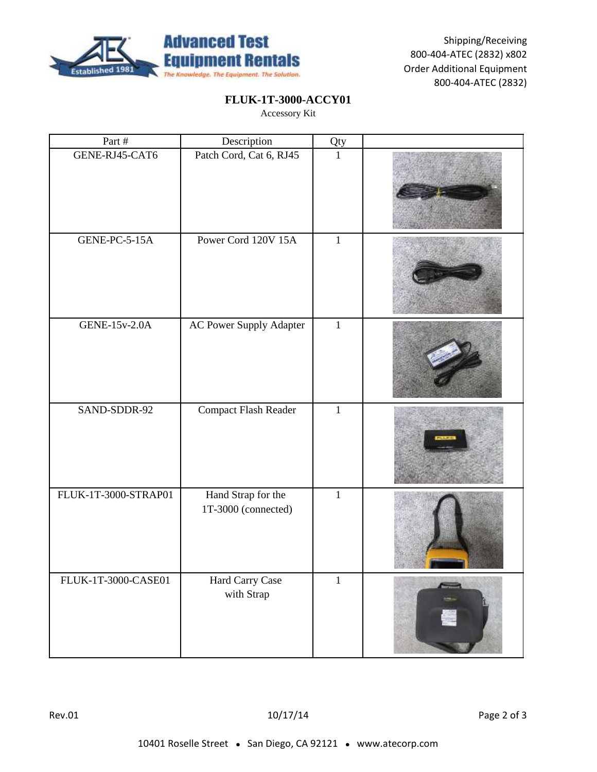

#### **FLUK-1T-3000-ACCY01**

| Part #               | Description                               | Qty          |  |
|----------------------|-------------------------------------------|--------------|--|
| GENE-RJ45-CAT6       | Patch Cord, Cat 6, RJ45                   | $\mathbf{1}$ |  |
| GENE-PC-5-15A        | Power Cord 120V 15A                       | $\mathbf{1}$ |  |
| <b>GENE-15v-2.0A</b> | AC Power Supply Adapter                   | $\mathbf 1$  |  |
| SAND-SDDR-92         | Compact Flash Reader                      | $\mathbf{1}$ |  |
| FLUK-1T-3000-STRAP01 | Hand Strap for the<br>1T-3000 (connected) | $\mathbf{1}$ |  |
| FLUK-1T-3000-CASE01  | Hard Carry Case<br>with Strap             | $\mathbf 1$  |  |